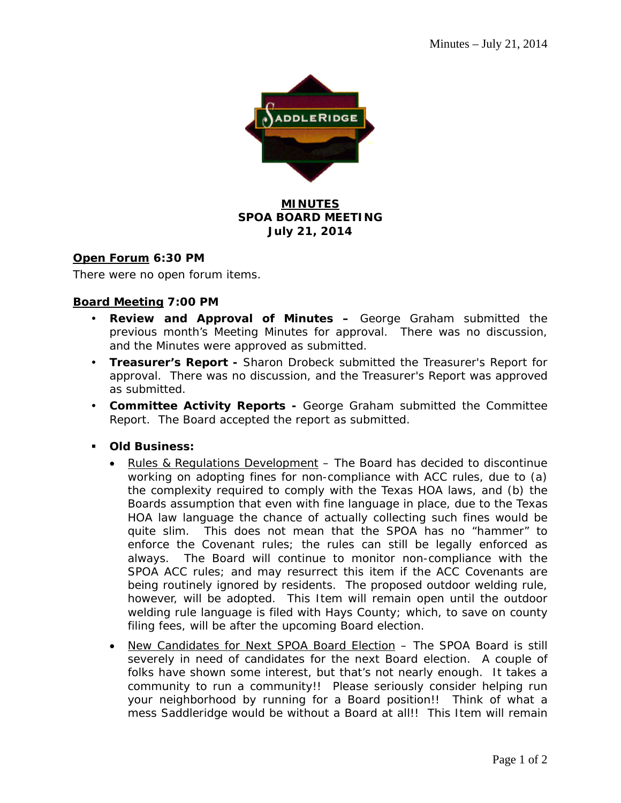

# **MINUTES SPOA BOARD MEETING July 21, 2014**

## **Open Forum 6:30 PM**

There were no open forum items.

## **Board Meeting 7:00 PM**

- **Review and Approval of Minutes –** George Graham submitted the previous month's Meeting Minutes for approval. There was no discussion, and the Minutes were approved as submitted.
- **Treasurer's Report** Sharon Drobeck submitted the Treasurer's Report for approval. There was no discussion, and the Treasurer's Report was approved as submitted.
- **Committee Activity Reports** George Graham submitted the Committee Report. The Board accepted the report as submitted.
- **Old Business:** 
	- Rules & Regulations Development The Board has decided to discontinue working on adopting fines for non-compliance with ACC rules, due to (a) the complexity required to comply with the Texas HOA laws, and (b) the Boards assumption that even with fine language in place, due to the Texas HOA law language the chance of actually collecting such fines would be quite slim. This does not mean that the SPOA has no "hammer" to enforce the Covenant rules; the rules can still be legally enforced as always. The Board will continue to monitor non-compliance with the SPOA ACC rules; and may resurrect this item if the ACC Covenants are being routinely ignored by residents. The proposed outdoor welding rule, however, will be adopted. This Item will remain open until the outdoor welding rule language is filed with Hays County; which, to save on county filing fees, will be after the upcoming Board election.
	- New Candidates for Next SPOA Board Election The SPOA Board is still severely in need of candidates for the next Board election. A couple of folks have shown some interest, but that's not nearly enough. It takes a community to run a community!! Please seriously consider helping run your neighborhood by running for a Board position!! Think of what a mess Saddleridge would be without a Board at all!! This Item will remain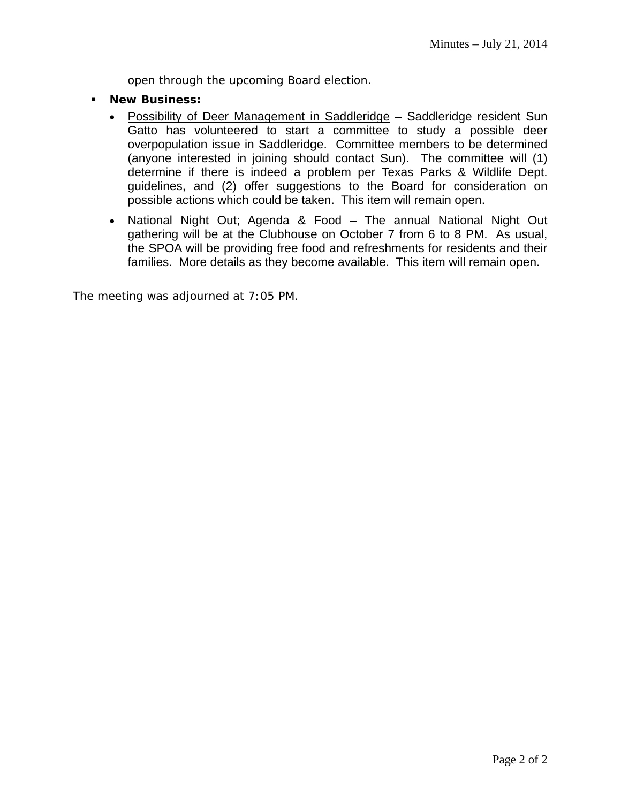open through the upcoming Board election.

- **New Business:**
	- Possibility of Deer Management in Saddleridge Saddleridge resident Sun Gatto has volunteered to start a committee to study a possible deer overpopulation issue in Saddleridge. Committee members to be determined (anyone interested in joining should contact Sun). The committee will (1) determine if there is indeed a problem per Texas Parks & Wildlife Dept. guidelines, and (2) offer suggestions to the Board for consideration on possible actions which could be taken. This item will remain open.
	- National Night Out; Agenda & Food The annual National Night Out gathering will be at the Clubhouse on October 7 from 6 to 8 PM. As usual, the SPOA will be providing free food and refreshments for residents and their families. More details as they become available. This item will remain open.

The meeting was adjourned at 7:05 PM.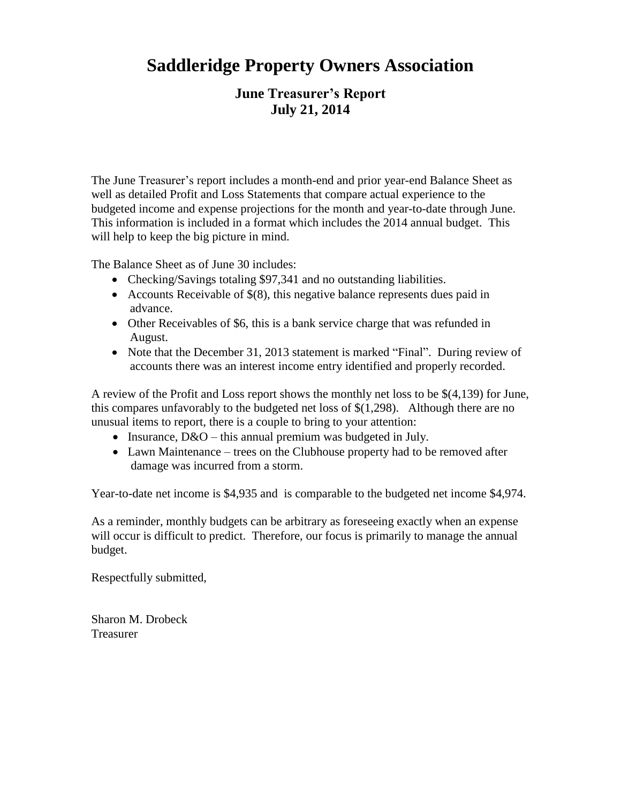# **Saddleridge Property Owners Association**

# **June Treasurer's Report July 21, 2014**

The June Treasurer's report includes a month-end and prior year-end Balance Sheet as well as detailed Profit and Loss Statements that compare actual experience to the budgeted income and expense projections for the month and year-to-date through June. This information is included in a format which includes the 2014 annual budget. This will help to keep the big picture in mind.

The Balance Sheet as of June 30 includes:

- Checking/Savings totaling \$97,341 and no outstanding liabilities.
- Accounts Receivable of  $$(8)$ , this negative balance represents dues paid in advance.
- Other Receivables of \$6, this is a bank service charge that was refunded in August.
- Note that the December 31, 2013 statement is marked "Final". During review of accounts there was an interest income entry identified and properly recorded.

A review of the Profit and Loss report shows the monthly net loss to be \$(4,139) for June, this compares unfavorably to the budgeted net loss of \$(1,298). Although there are no unusual items to report, there is a couple to bring to your attention:

- Insurance,  $D&O$  this annual premium was budgeted in July.
- Lawn Maintenance trees on the Clubhouse property had to be removed after damage was incurred from a storm.

Year-to-date net income is \$4,935 and is comparable to the budgeted net income \$4,974.

As a reminder, monthly budgets can be arbitrary as foreseeing exactly when an expense will occur is difficult to predict. Therefore, our focus is primarily to manage the annual budget.

Respectfully submitted,

Sharon M. Drobeck Treasurer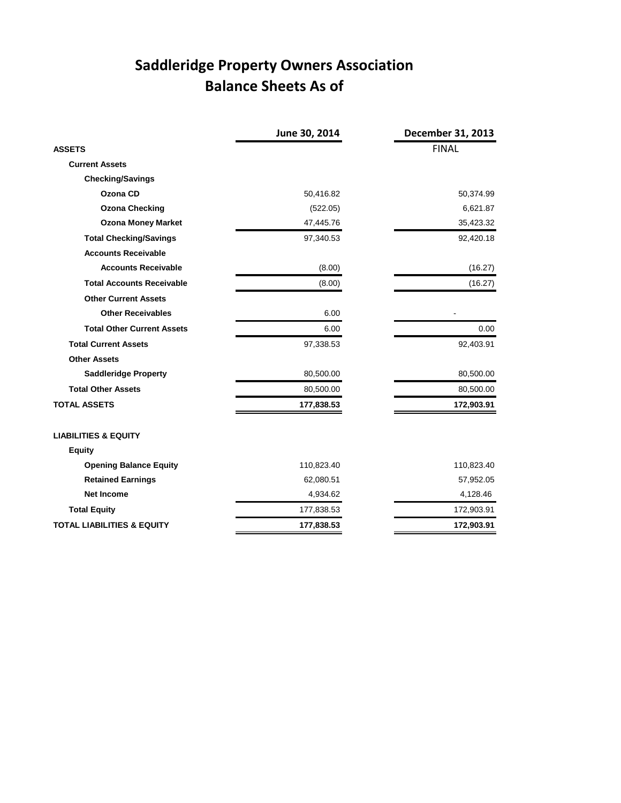# **Saddleridge Property Owners Association Balance Sheets As of**

|                                       | June 30, 2014 | December 31, 2013 |
|---------------------------------------|---------------|-------------------|
| <b>ASSETS</b>                         |               | <b>FINAL</b>      |
| <b>Current Assets</b>                 |               |                   |
| <b>Checking/Savings</b>               |               |                   |
| Ozona CD                              | 50,416.82     | 50,374.99         |
| <b>Ozona Checking</b>                 | (522.05)      | 6,621.87          |
| <b>Ozona Money Market</b>             | 47,445.76     | 35,423.32         |
| <b>Total Checking/Savings</b>         | 97,340.53     | 92,420.18         |
| <b>Accounts Receivable</b>            |               |                   |
| <b>Accounts Receivable</b>            | (8.00)        | (16.27)           |
| <b>Total Accounts Receivable</b>      | (8.00)        | (16.27)           |
| <b>Other Current Assets</b>           |               |                   |
| <b>Other Receivables</b>              | 6.00          |                   |
| <b>Total Other Current Assets</b>     | 6.00          | 0.00              |
| <b>Total Current Assets</b>           | 97,338.53     | 92,403.91         |
| <b>Other Assets</b>                   |               |                   |
| <b>Saddleridge Property</b>           | 80,500.00     | 80,500.00         |
| <b>Total Other Assets</b>             | 80,500.00     | 80,500.00         |
| <b>TOTAL ASSETS</b>                   | 177,838.53    | 172,903.91        |
| <b>LIABILITIES &amp; EQUITY</b>       |               |                   |
| <b>Equity</b>                         |               |                   |
| <b>Opening Balance Equity</b>         | 110,823.40    | 110,823.40        |
| <b>Retained Earnings</b>              | 62,080.51     | 57,952.05         |
| <b>Net Income</b>                     | 4,934.62      | 4,128.46          |
| <b>Total Equity</b>                   | 177,838.53    | 172,903.91        |
| <b>TOTAL LIABILITIES &amp; EQUITY</b> | 177,838.53    | 172,903.91        |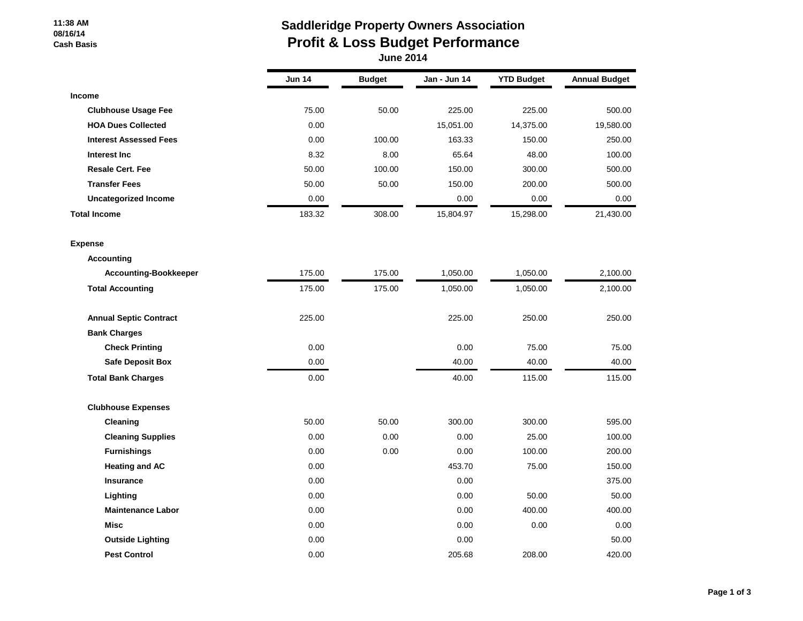#### **11:38 AM 08/16/14 Cash Basis**

# **Saddleridge Property Owners Association Profit & Loss Budget Performance**

| <b>June 2014</b> |  |
|------------------|--|
|------------------|--|

|                               | <b>Jun 14</b> | <b>Budget</b> | Jan - Jun 14 | <b>YTD Budget</b> | <b>Annual Budget</b> |
|-------------------------------|---------------|---------------|--------------|-------------------|----------------------|
| <b>Income</b>                 |               |               |              |                   |                      |
| <b>Clubhouse Usage Fee</b>    | 75.00         | 50.00         | 225.00       | 225.00            | 500.00               |
| <b>HOA Dues Collected</b>     | 0.00          |               | 15,051.00    | 14,375.00         | 19,580.00            |
| <b>Interest Assessed Fees</b> | 0.00          | 100.00        | 163.33       | 150.00            | 250.00               |
| Interest Inc                  | 8.32          | 8.00          | 65.64        | 48.00             | 100.00               |
| <b>Resale Cert. Fee</b>       | 50.00         | 100.00        | 150.00       | 300.00            | 500.00               |
| <b>Transfer Fees</b>          | 50.00         | 50.00         | 150.00       | 200.00            | 500.00               |
| <b>Uncategorized Income</b>   | 0.00          |               | 0.00         | 0.00              | 0.00                 |
| <b>Total Income</b>           | 183.32        | 308.00        | 15,804.97    | 15,298.00         | 21,430.00            |
| <b>Expense</b>                |               |               |              |                   |                      |
| <b>Accounting</b>             |               |               |              |                   |                      |
| <b>Accounting-Bookkeeper</b>  | 175.00        | 175.00        | 1,050.00     | 1,050.00          | 2,100.00             |
| <b>Total Accounting</b>       | 175.00        | 175.00        | 1,050.00     | 1,050.00          | 2,100.00             |
| <b>Annual Septic Contract</b> | 225.00        |               | 225.00       | 250.00            | 250.00               |
| <b>Bank Charges</b>           |               |               |              |                   |                      |
| <b>Check Printing</b>         | 0.00          |               | 0.00         | 75.00             | 75.00                |
| <b>Safe Deposit Box</b>       | 0.00          |               | 40.00        | 40.00             | 40.00                |
| <b>Total Bank Charges</b>     | 0.00          |               | 40.00        | 115.00            | 115.00               |
| <b>Clubhouse Expenses</b>     |               |               |              |                   |                      |
| Cleaning                      | 50.00         | 50.00         | 300.00       | 300.00            | 595.00               |
| <b>Cleaning Supplies</b>      | 0.00          | 0.00          | 0.00         | 25.00             | 100.00               |
| <b>Furnishings</b>            | 0.00          | 0.00          | 0.00         | 100.00            | 200.00               |
| <b>Heating and AC</b>         | 0.00          |               | 453.70       | 75.00             | 150.00               |
| <b>Insurance</b>              | 0.00          |               | 0.00         |                   | 375.00               |
| Lighting                      | 0.00          |               | 0.00         | 50.00             | 50.00                |
| <b>Maintenance Labor</b>      | 0.00          |               | 0.00         | 400.00            | 400.00               |
| <b>Misc</b>                   | 0.00          |               | 0.00         | 0.00              | 0.00                 |
| <b>Outside Lighting</b>       | 0.00          |               | 0.00         |                   | 50.00                |
| <b>Pest Control</b>           | 0.00          |               | 205.68       | 208.00            | 420.00               |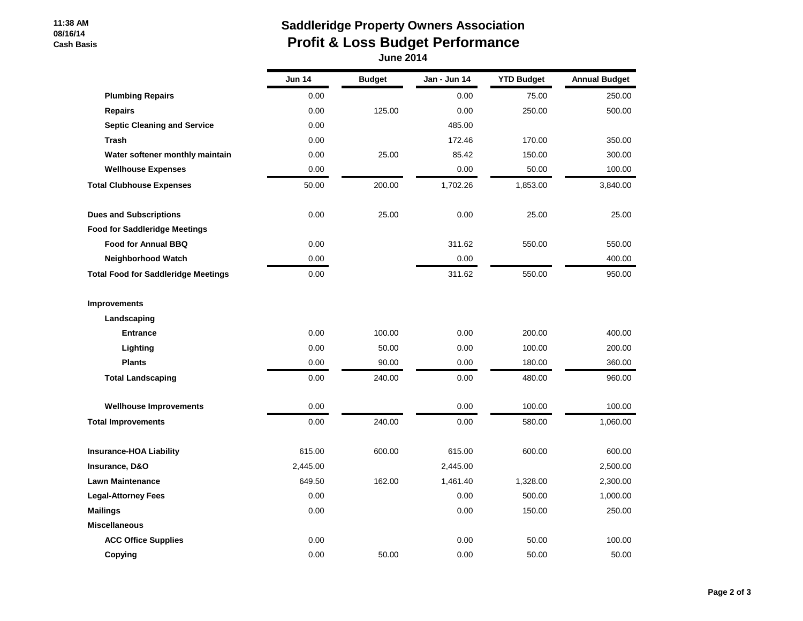#### **11:38 AM 08/16/14 Cash Basis**

# **Saddleridge Property Owners Association Profit & Loss Budget Performance June 2014**

|                                            | <b>Jun 14</b> | <b>Budget</b> | Jan - Jun 14 | <b>YTD Budget</b> | <b>Annual Budget</b> |
|--------------------------------------------|---------------|---------------|--------------|-------------------|----------------------|
| <b>Plumbing Repairs</b>                    | 0.00          |               | 0.00         | 75.00             | 250.00               |
| <b>Repairs</b>                             | 0.00          | 125.00        | 0.00         | 250.00            | 500.00               |
| <b>Septic Cleaning and Service</b>         | 0.00          |               | 485.00       |                   |                      |
| <b>Trash</b>                               | 0.00          |               | 172.46       | 170.00            | 350.00               |
| Water softener monthly maintain            | 0.00          | 25.00         | 85.42        | 150.00            | 300.00               |
| <b>Wellhouse Expenses</b>                  | 0.00          |               | 0.00         | 50.00             | 100.00               |
| <b>Total Clubhouse Expenses</b>            | 50.00         | 200.00        | 1,702.26     | 1,853.00          | 3,840.00             |
| <b>Dues and Subscriptions</b>              | 0.00          | 25.00         | 0.00         | 25.00             | 25.00                |
| <b>Food for Saddleridge Meetings</b>       |               |               |              |                   |                      |
| <b>Food for Annual BBQ</b>                 | 0.00          |               | 311.62       | 550.00            | 550.00               |
| <b>Neighborhood Watch</b>                  | 0.00          |               | 0.00         |                   | 400.00               |
| <b>Total Food for Saddleridge Meetings</b> | 0.00          |               | 311.62       | 550.00            | 950.00               |
| <b>Improvements</b>                        |               |               |              |                   |                      |
| Landscaping                                |               |               |              |                   |                      |
| <b>Entrance</b>                            | 0.00          | 100.00        | 0.00         | 200.00            | 400.00               |
| Lighting                                   | 0.00          | 50.00         | 0.00         | 100.00            | 200.00               |
| <b>Plants</b>                              | 0.00          | 90.00         | 0.00         | 180.00            | 360.00               |
| <b>Total Landscaping</b>                   | 0.00          | 240.00        | 0.00         | 480.00            | 960.00               |
| <b>Wellhouse Improvements</b>              | 0.00          |               | 0.00         | 100.00            | 100.00               |
| <b>Total Improvements</b>                  | 0.00          | 240.00        | 0.00         | 580.00            | 1,060.00             |
| <b>Insurance-HOA Liability</b>             | 615.00        | 600.00        | 615.00       | 600.00            | 600.00               |
| Insurance, D&O                             | 2,445.00      |               | 2,445.00     |                   | 2,500.00             |
| <b>Lawn Maintenance</b>                    | 649.50        | 162.00        | 1,461.40     | 1,328.00          | 2,300.00             |
| <b>Legal-Attorney Fees</b>                 | 0.00          |               | 0.00         | 500.00            | 1,000.00             |
| <b>Mailings</b>                            | 0.00          |               | 0.00         | 150.00            | 250.00               |
| <b>Miscellaneous</b>                       |               |               |              |                   |                      |
| <b>ACC Office Supplies</b>                 | 0.00          |               | 0.00         | 50.00             | 100.00               |
| Copying                                    | 0.00          | 50.00         | 0.00         | 50.00             | 50.00                |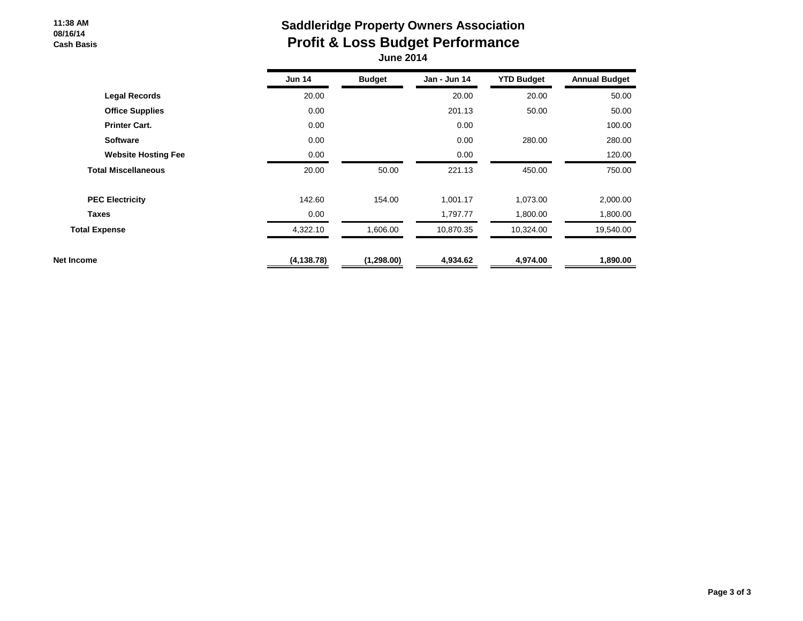#### **11:38 AM 08/16/14 Cash Basis**

# **Saddleridge Property Owners Association Profit & Loss Budget Performance June 2014**

|                            | <b>Jun 14</b> | <b>Budget</b> | Jan - Jun 14 | <b>YTD Budget</b> | <b>Annual Budget</b> |
|----------------------------|---------------|---------------|--------------|-------------------|----------------------|
| <b>Legal Records</b>       | 20.00         |               | 20.00        | 20.00             | 50.00                |
| <b>Office Supplies</b>     | 0.00          |               | 201.13       | 50.00             | 50.00                |
| <b>Printer Cart.</b>       | 0.00          |               | 0.00         |                   | 100.00               |
| <b>Software</b>            | 0.00          |               | 0.00         | 280.00            | 280.00               |
| <b>Website Hosting Fee</b> | 0.00          |               | 0.00         |                   | 120.00               |
| <b>Total Miscellaneous</b> | 20.00         | 50.00         | 221.13       | 450.00            | 750.00               |
| <b>PEC Electricity</b>     | 142.60        | 154.00        | 1,001.17     | 1,073.00          | 2,000.00             |
| <b>Taxes</b>               | 0.00          |               | 1,797.77     | 1,800.00          | 1,800.00             |
| <b>Total Expense</b>       | 4,322.10      | 1,606.00      | 10,870.35    | 10,324.00         | 19,540.00            |
| Net Income                 | (4, 138.78)   | (1, 298.00)   | 4,934.62     | 4,974.00          | 1,890.00             |